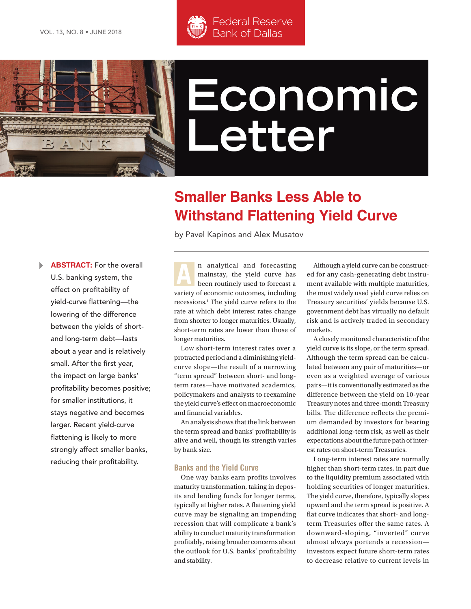

# **Economic Letter**

## **Smaller Banks Less Able to Withstand Flattening Yield Curve**

by Pavel Kapinos and Alex Musatov

Federal Reserve Bank of Dallas

 $\blacktriangleright$ **ABSTRACT:** For the overall U.S. banking system, the effect on profitability of yield-curve flattening—the lowering of the difference between the yields of shortand long-term debt—lasts about a year and is relatively small. After the first year, the impact on large banks' profitability becomes positive; for smaller institutions, it stays negative and becomes larger. Recent yield-curve flattening is likely to more strongly affect smaller banks, reducing their profitability.

n analytical and forecasting mainstay, the yield curve has been routinely used to forecast a variety of economic outcomes, including recessions.<sup>1</sup> The yield curve refers to the rate at which debt interest rates change from shorter to longer maturities. Usually, short-term rates are lower than those of longer maturities. **A**

Low short-term interest rates over a protracted period and a diminishing yieldcurve slope—the result of a narrowing "term spread" between short- and longterm rates—have motivated academics, policymakers and analysts to reexamine the yield curve's effect on macroeconomic and financial variables.

An analysis shows that the link between the term spread and banks' profitability is alive and well, though its strength varies by bank size.

#### **Banks and the Yield Curve**

One way banks earn profits involves maturity transformation, taking in deposits and lending funds for longer terms, typically at higher rates. A flattening yield curve may be signaling an impending recession that will complicate a bank's ability to conduct maturity transformation profitably, raising broader concerns about the outlook for U.S. banks' profitability and stability.

Although a yield curve can be constructed for any cash-generating debt instrument available with multiple maturities, the most widely used yield curve relies on Treasury securities' yields because U.S. government debt has virtually no default risk and is actively traded in secondary markets.

A closely monitored characteristic of the yield curve is its slope, or the term spread. Although the term spread can be calculated between any pair of maturities—or even as a weighted average of various pairs—it is conventionally estimated as the difference between the yield on 10-year Treasury notes and three-month Treasury bills. The difference reflects the premium demanded by investors for bearing additional long-term risk, as well as their expectations about the future path of interest rates on short-term Treasuries.

Long-term interest rates are normally higher than short-term rates, in part due to the liquidity premium associated with holding securities of longer maturities. The yield curve, therefore, typically slopes upward and the term spread is positive. A flat curve indicates that short- and longterm Treasuries offer the same rates. A downward-sloping, "inverted" curve almost always portends a recession investors expect future short-term rates to decrease relative to current levels in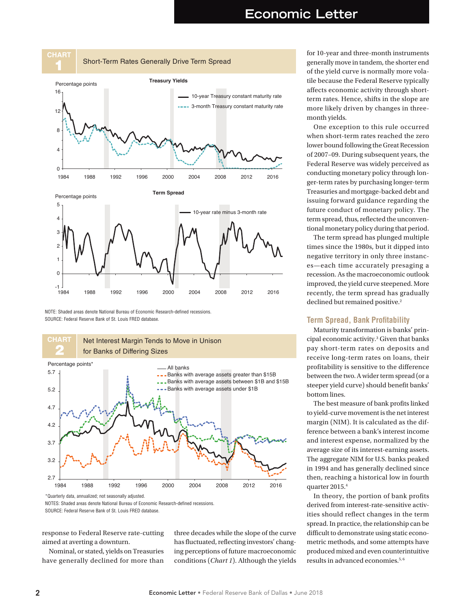

NOTE: Shaded areas denote National Bureau of Economic Research-defined recessions. SOURCE: Federal Reserve Bank of St. Louis FRED database.



NOTES: Shaded areas denote National Bureau of Economic Research-defined recessions.

SOURCE: Federal Reserve Bank of St. Louis FRED database.

response to Federal Reserve rate-cutting aimed at averting a downturn.

Nominal, or stated, yields on Treasuries have generally declined for more than three decades while the slope of the curve has fluctuated, reflecting investors' changing perceptions of future macroeconomic conditions (*Chart 1*). Although the yields

for 10-year and three-month instruments generally move in tandem, the shorter end of the yield curve is normally more volatile because the Federal Reserve typically affects economic activity through shortterm rates. Hence, shifts in the slope are more likely driven by changes in threemonth yields.

One exception to this rule occurred when short-term rates reached the zero lower bound following the Great Recession of 2007–09. During subsequent years, the Federal Reserve was widely perceived as conducting monetary policy through longer-term rates by purchasing longer-term Treasuries and mortgage-backed debt and issuing forward guidance regarding the future conduct of monetary policy. The term spread, thus, reflected the unconventional monetary policy during that period.

The term spread has plunged multiple times since the 1980s, but it dipped into negative territory in only three instances—each time accurately presaging a recession. As the macroeconomic outlook improved, the yield curve steepened. More recently, the term spread has gradually declined but remained positive.<sup>2</sup>

#### **Term Spread, Bank Profitability**

Maturity transformation is banks' principal economic activity.3 Given that banks pay short-term rates on deposits and receive long-term rates on loans, their profitability is sensitive to the difference between the two. A wider term spread (or a steeper yield curve) should benefit banks' bottom lines.

The best measure of bank profits linked to yield-curve movement is the net interest margin (NIM). It is calculated as the difference between a bank's interest income and interest expense, normalized by the average size of its interest-earning assets. The aggregate NIM for U.S. banks peaked in 1994 and has generally declined since then, reaching a historical low in fourth quarter 2015.4

In theory, the portion of bank profits derived from interest-rate-sensitive activities should reflect changes in the term spread. In practice, the relationship can be difficult to demonstrate using static econometric methods, and some attempts have produced mixed and even counterintuitive results in advanced economies.5, 6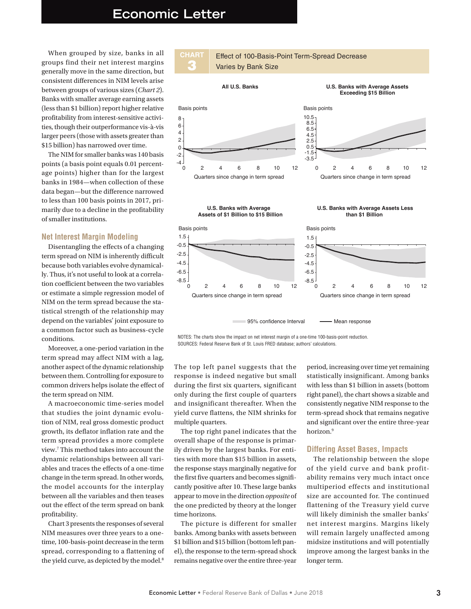### **Economic Letter**

-8.5 -6.5

When grouped by size, banks in all groups find their net interest margins generally move in the same direction, but consistent differences in NIM levels arise between groups of various sizes (*Chart 2*). Banks with smaller average earning assets (less than \$1 billion) report higher relative profitability from interest-sensitive activities, though their outperformance vis-à-vis larger peers (those with assets greater than \$15 billion) has narrowed over time.

The NIM for smaller banks was 140 basis points (a basis point equals 0.01 percentage points) higher than for the largest banks in 1984—when collection of these data began—but the difference narrowed to less than 100 basis points in 2017, primarily due to a decline in the profitability of smaller institutions.

#### **Net Interest Margin Modeling**

Disentangling the effects of a changing term spread on NIM is inherently difficult because both variables evolve dynamically. Thus, it's not useful to look at a correlation coefficient between the two variables or estimate a simple regression model of NIM on the term spread because the statistical strength of the relationship may depend on the variables' joint exposure to a common factor such as business-cycle conditions.

Moreover, a one-period variation in the term spread may affect NIM with a lag, another aspect of the dynamic relationship between them. Controlling for exposure to common drivers helps isolate the effect of the term spread on NIM.

A macroeconomic time-series model that studies the joint dynamic evolution of NIM, real gross domestic product growth, its deflator inflation rate and the term spread provides a more complete view.7 This method takes into account the dynamic relationships between all variables and traces the effects of a one-time change in the term spread. In other words, the model accounts for the interplay between all the variables and then teases out the effect of the term spread on bank profitability.

Chart 3 presents the responses of several NIM measures over three years to a onetime, 100-basis-point decrease in the term spread, corresponding to a flattening of the yield curve, as depicted by the model.<sup>8</sup>



95% confidence Interval — Mean response

-8.5 -6.5

Quarters since change in term spread Quarters since change in term spread

NOTES: The charts show the impact on net interest margin of a one-time 100-basis-point reduction.

SOURCES: Federal Reserve Bank of St. Louis FRED database; authors' calculations.

The top left panel suggests that the response is indeed negative but small during the first six quarters, significant only during the first couple of quarters and insignificant thereafter. When the yield curve flattens, the NIM shrinks for multiple quarters.

0 2 4 6 8 10 12

The top right panel indicates that the overall shape of the response is primarily driven by the largest banks. For entities with more than \$15 billion in assets, the response stays marginally negative for the first five quarters and becomes significantly positive after 10. These large banks appear to move in the direction *opposite* of the one predicted by theory at the longer time horizons.

The picture is different for smaller banks. Among banks with assets between \$1 billion and \$15 billion (bottom left panel), the response to the term-spread shock remains negative over the entire three-year

period, increasing over time yet remaining statistically insignificant. Among banks with less than \$1 billion in assets (bottom right panel), the chart shows a sizable and consistently negative NIM response to the term-spread shock that remains negative and significant over the entire three-year horizon.<sup>9</sup>

0 2 4 6 8 10 12

#### **Differing Asset Bases, Impacts**

The relationship between the slope of the yield curve and bank profitability remains very much intact once multiperiod effects and institutional size are accounted for. The continued flattening of the Treasury yield curve will likely diminish the smaller banks' net interest margins. Margins likely will remain largely unaffected among midsize institutions and will potentially improve among the largest banks in the longer term.